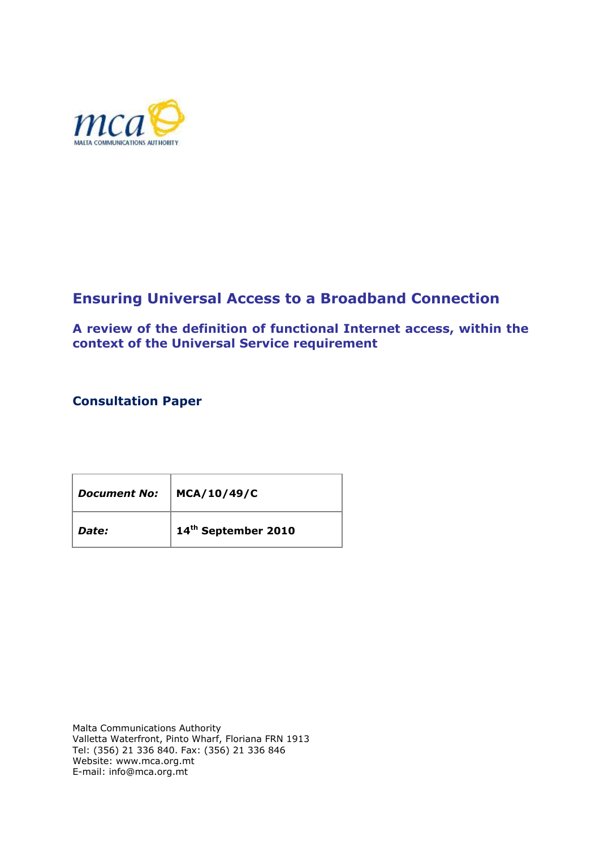

# **Ensuring Universal Access to a Broadband Connection**

**A review of the definition of functional Internet access, within the context of the Universal Service requirement**

# **Consultation Paper**

| <b>Document No:</b> | MCA/10/49/C                     |
|---------------------|---------------------------------|
| Date:               | 14 <sup>th</sup> September 2010 |

Malta Communications Authority Valletta Waterfront, Pinto Wharf, Floriana FRN 1913 Tel: (356) 21 336 840. Fax: (356) 21 336 846 Website: www.mca.org.mt E-mail: info@mca.org.mt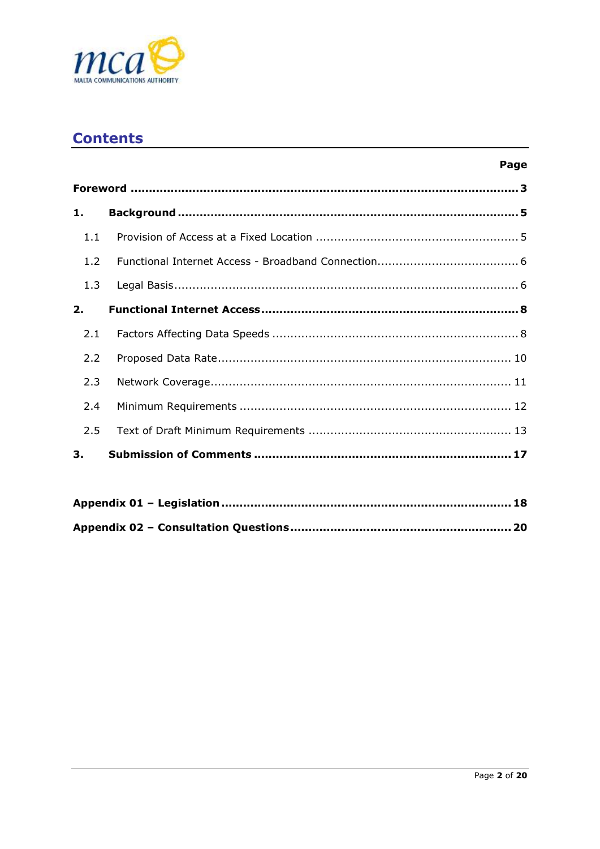

# **Contents**

| × | ٠<br>۰. |
|---|---------|

| 1.  |  |  |  |
|-----|--|--|--|
| 1.1 |  |  |  |
| 1.2 |  |  |  |
| 1.3 |  |  |  |
| 2.  |  |  |  |
| 2.1 |  |  |  |
| 2.2 |  |  |  |
| 2.3 |  |  |  |
| 2.4 |  |  |  |
| 2.5 |  |  |  |
| 3.  |  |  |  |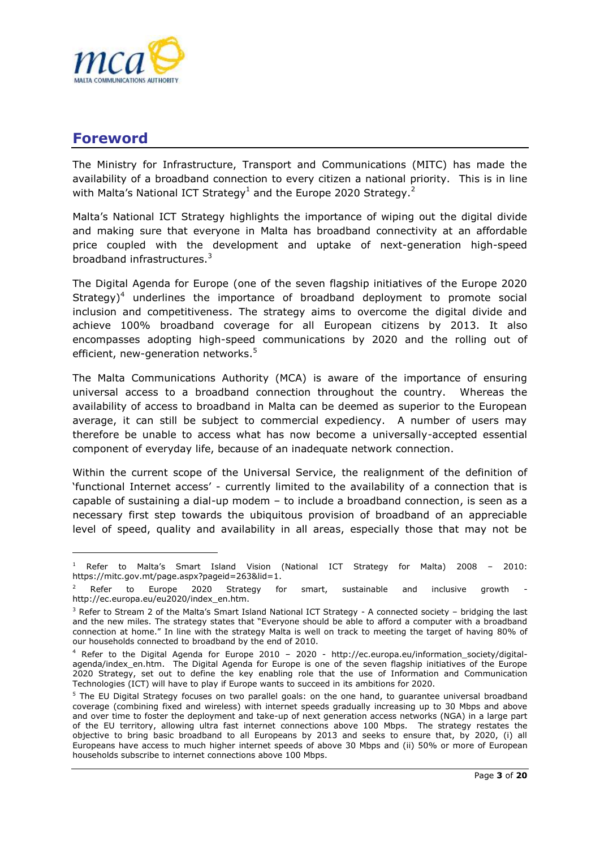

# <span id="page-2-0"></span>**Foreword**

 $\overline{a}$ 

The Ministry for Infrastructure, Transport and Communications (MITC) has made the availability of a broadband connection to every citizen a national priority. This is in line with Malta's National ICT Strategy<sup>1</sup> and the Europe 2020 Strategy.<sup>2</sup>

Malta"s National ICT Strategy highlights the importance of wiping out the digital divide and making sure that everyone in Malta has broadband connectivity at an affordable price coupled with the development and uptake of next-generation high-speed broadband infrastructures.<sup>3</sup>

The Digital Agenda for Europe (one of the seven flagship initiatives of the Europe 2020  $Strategy<sup>4</sup>$  underlines the importance of broadband deployment to promote social inclusion and competitiveness. The strategy aims to overcome the digital divide and achieve 100% broadband coverage for all European citizens by 2013. It also encompasses adopting high-speed communications by 2020 and the rolling out of efficient, new-generation networks.<sup>5</sup>

The Malta Communications Authority (MCA) is aware of the importance of ensuring universal access to a broadband connection throughout the country. Whereas the availability of access to broadband in Malta can be deemed as superior to the European average, it can still be subject to commercial expediency. A number of users may therefore be unable to access what has now become a universally-accepted essential component of everyday life, because of an inadequate network connection.

Within the current scope of the Universal Service, the realignment of the definition of "functional Internet access" - currently limited to the availability of a connection that is capable of sustaining a dial-up modem – to include a broadband connection, is seen as a necessary first step towards the ubiquitous provision of broadband of an appreciable level of speed, quality and availability in all areas, especially those that may not be

<sup>1</sup> Refer to Malta"s Smart Island Vision (National ICT Strategy for Malta) 2008 – 2010: https://mitc.gov.mt/page.aspx?pageid=263&lid=1.

Refer to Europe 2020 Strategy for smart, sustainable and inclusive growth http://ec.europa.eu/eu2020/index\_en.htm.

<sup>&</sup>lt;sup>3</sup> Refer to Stream 2 of the Malta's Smart Island National ICT Strategy - A connected society – bridging the last and the new miles. The strategy states that "Everyone should be able to afford a computer with a broadband connection at home." In line with the strategy Malta is well on track to meeting the target of having 80% of our households connected to broadband by the end of 2010.

 $4$  Refer to the Digital Agenda for Europe 2010 – 2020 - http://ec.europa.eu/information society/digitalagenda/index\_en.htm. The Digital Agenda for Europe is one of the seven flagship initiatives of the Europe 2020 Strategy, set out to define the key enabling role that the use of Information and Communication Technologies (ICT) will have to play if Europe wants to succeed in its ambitions for 2020.

<sup>&</sup>lt;sup>5</sup> The EU Digital Strategy focuses on two parallel goals: on the one hand, to guarantee universal broadband coverage (combining fixed and wireless) with internet speeds gradually increasing up to 30 Mbps and above and over time to foster the deployment and take-up of next generation access networks (NGA) in a large part of the EU territory, allowing ultra fast internet connections above 100 Mbps. The strategy restates the objective to bring basic broadband to all Europeans by 2013 and seeks to ensure that, by 2020, (i) all Europeans have access to much higher internet speeds of above 30 Mbps and (ii) 50% or more of European households subscribe to internet connections above 100 Mbps.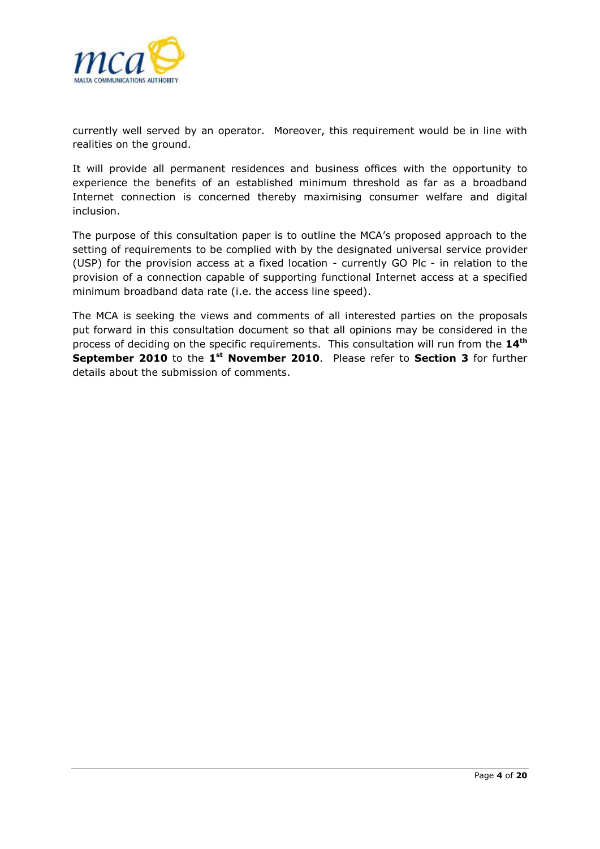

currently well served by an operator. Moreover, this requirement would be in line with realities on the ground.

It will provide all permanent residences and business offices with the opportunity to experience the benefits of an established minimum threshold as far as a broadband Internet connection is concerned thereby maximising consumer welfare and digital inclusion.

The purpose of this consultation paper is to outline the MCA"s proposed approach to the setting of requirements to be complied with by the designated universal service provider (USP) for the provision access at a fixed location - currently GO Plc - in relation to the provision of a connection capable of supporting functional Internet access at a specified minimum broadband data rate (i.e. the access line speed).

The MCA is seeking the views and comments of all interested parties on the proposals put forward in this consultation document so that all opinions may be considered in the process of deciding on the specific requirements. This consultation will run from the **14th September 2010** to the 1<sup>st</sup> November 2010. Please refer to Section 3 for further details about the submission of comments.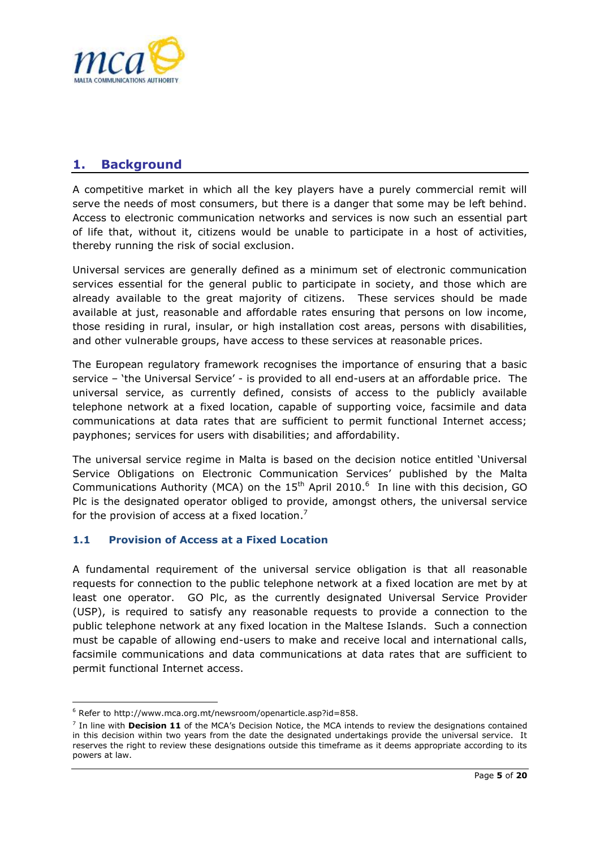

# <span id="page-4-0"></span>**1. Background**

A competitive market in which all the key players have a purely commercial remit will serve the needs of most consumers, but there is a danger that some may be left behind. Access to electronic communication networks and services is now such an essential part of life that, without it, citizens would be unable to participate in a host of activities, thereby running the risk of social exclusion.

Universal services are generally defined as a minimum set of electronic communication services essential for the general public to participate in society, and those which are already available to the great majority of citizens. These services should be made available at just, reasonable and affordable rates ensuring that persons on low income, those residing in rural, insular, or high installation cost areas, persons with disabilities, and other vulnerable groups, have access to these services at reasonable prices.

The European regulatory framework recognises the importance of ensuring that a basic service – "the Universal Service" - is provided to all end-users at an affordable price. The universal service, as currently defined, consists of access to the publicly available telephone network at a fixed location, capable of supporting voice, facsimile and data communications at data rates that are sufficient to permit functional Internet access; payphones; services for users with disabilities; and affordability.

The universal service regime in Malta is based on the decision notice entitled "Universal Service Obligations on Electronic Communication Services" published by the Malta Communications Authority (MCA) on the  $15<sup>th</sup>$  April 2010.<sup>6</sup> In line with this decision, GO Plc is the designated operator obliged to provide, amongst others, the universal service for the provision of access at a fixed location.<sup>7</sup>

## <span id="page-4-1"></span>**1.1 Provision of Access at a Fixed Location**

A fundamental requirement of the universal service obligation is that all reasonable requests for connection to the public telephone network at a fixed location are met by at least one operator. GO Plc, as the currently designated Universal Service Provider (USP), is required to satisfy any reasonable requests to provide a connection to the public telephone network at any fixed location in the Maltese Islands. Such a connection must be capable of allowing end-users to make and receive local and international calls, facsimile communications and data communications at data rates that are sufficient to permit functional Internet access.

 $\overline{a}$ 

<sup>6</sup> Refer to http://www.mca.org.mt/newsroom/openarticle.asp?id=858.

<sup>7</sup> In line with **Decision 11** of the MCA"s Decision Notice, the MCA intends to review the designations contained in this decision within two years from the date the designated undertakings provide the universal service. It reserves the right to review these designations outside this timeframe as it deems appropriate according to its powers at law.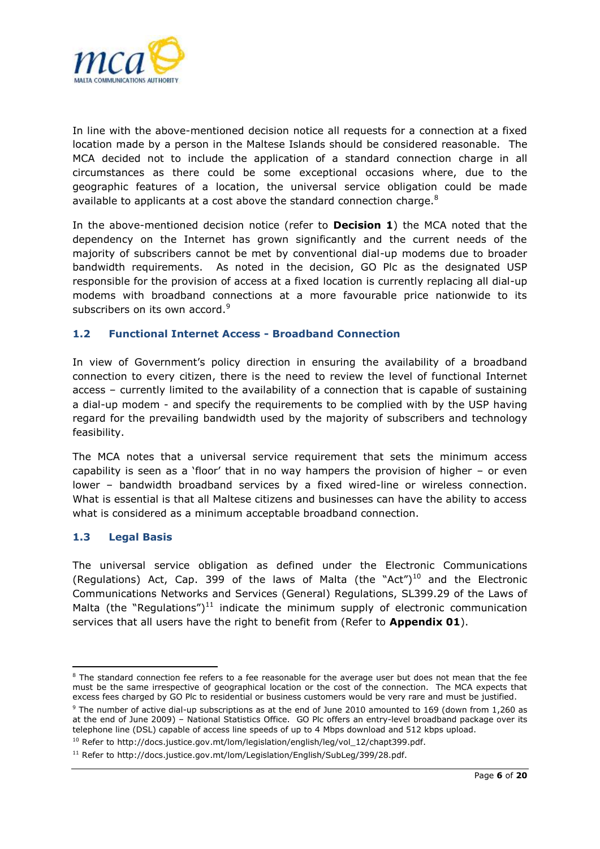

In line with the above-mentioned decision notice all requests for a connection at a fixed location made by a person in the Maltese Islands should be considered reasonable. The MCA decided not to include the application of a standard connection charge in all circumstances as there could be some exceptional occasions where, due to the geographic features of a location, the universal service obligation could be made available to applicants at a cost above the standard connection charge. $8$ 

In the above-mentioned decision notice (refer to **Decision 1**) the MCA noted that the dependency on the Internet has grown significantly and the current needs of the majority of subscribers cannot be met by conventional dial-up modems due to broader bandwidth requirements. As noted in the decision, GO Plc as the designated USP responsible for the provision of access at a fixed location is currently replacing all dial-up modems with broadband connections at a more favourable price nationwide to its subscribers on its own accord.<sup>9</sup>

### <span id="page-5-0"></span>**1.2 Functional Internet Access - Broadband Connection**

In view of Government"s policy direction in ensuring the availability of a broadband connection to every citizen, there is the need to review the level of functional Internet access – currently limited to the availability of a connection that is capable of sustaining a dial-up modem - and specify the requirements to be complied with by the USP having regard for the prevailing bandwidth used by the majority of subscribers and technology feasibility.

The MCA notes that a universal service requirement that sets the minimum access capability is seen as a "floor" that in no way hampers the provision of higher – or even lower – bandwidth broadband services by a fixed wired-line or wireless connection. What is essential is that all Maltese citizens and businesses can have the ability to access what is considered as a minimum acceptable broadband connection.

### <span id="page-5-1"></span>**1.3 Legal Basis**

**.** 

The universal service obligation as defined under the Electronic Communications (Regulations) Act, Cap. 399 of the laws of Malta (the "Act")<sup>10</sup> and the Electronic Communications Networks and Services (General) Regulations, SL399.29 of the Laws of Malta (the "Regulations")<sup>11</sup> indicate the minimum supply of electronic communication services that all users have the right to benefit from (Refer to **Appendix 01**).

 $8$  The standard connection fee refers to a fee reasonable for the average user but does not mean that the fee must be the same irrespective of geographical location or the cost of the connection. The MCA expects that excess fees charged by GO Plc to residential or business customers would be very rare and must be justified.

<sup>9</sup> The number of active dial-up subscriptions as at the end of June 2010 amounted to 169 (down from 1,260 as at the end of June 2009) – National Statistics Office. GO Plc offers an entry-level broadband package over its telephone line (DSL) capable of access line speeds of up to 4 Mbps download and 512 kbps upload.

<sup>&</sup>lt;sup>10</sup> Refer to http://docs.justice.gov.mt/lom/legislation/english/leg/vol\_12/chapt399.pdf.

<sup>&</sup>lt;sup>11</sup> Refer to http://docs.justice.gov.mt/lom/Legislation/English/SubLeg/399/28.pdf.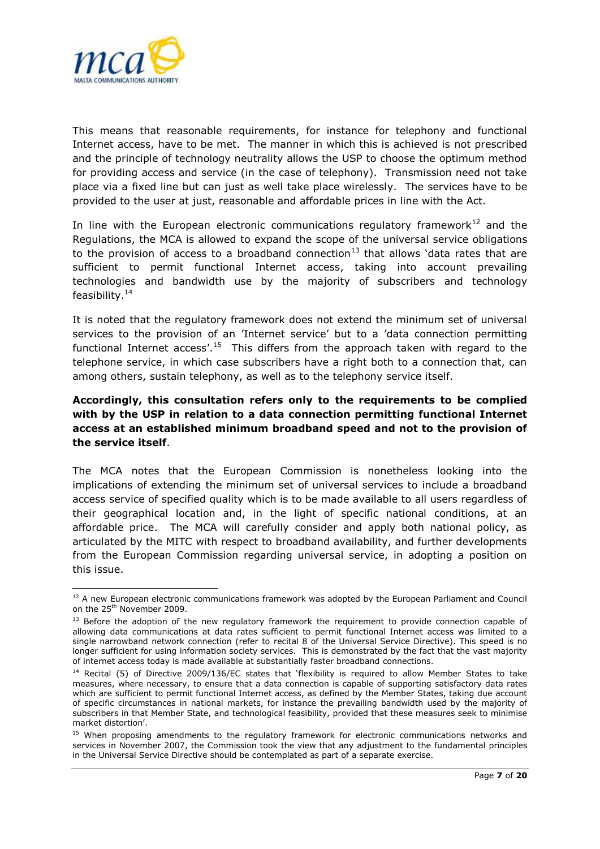

This means that reasonable requirements, for instance for telephony and functional Internet access, have to be met. The manner in which this is achieved is not prescribed and the principle of technology neutrality allows the USP to choose the optimum method for providing access and service (in the case of telephony). Transmission need not take place via a fixed line but can just as well take place wirelessly. The services have to be provided to the user at just, reasonable and affordable prices in line with the Act.

In line with the European electronic communications regulatory framework $^{12}$  and the Regulations, the MCA is allowed to expand the scope of the universal service obligations to the provision of access to a broadband connection<sup>13</sup> that allows 'data rates that are sufficient to permit functional Internet access, taking into account prevailing technologies and bandwidth use by the majority of subscribers and technology feasibility.<sup>14</sup>

It is noted that the regulatory framework does not extend the minimum set of universal services to the provision of an "Internet service" but to a "data connection permitting functional Internet access'.<sup>15</sup> This differs from the approach taken with regard to the telephone service, in which case subscribers have a right both to a connection that, can among others, sustain telephony, as well as to the telephony service itself.

## **Accordingly, this consultation refers only to the requirements to be complied with by the USP in relation to a data connection permitting functional Internet access at an established minimum broadband speed and not to the provision of the service itself**.

The MCA notes that the European Commission is nonetheless looking into the implications of extending the minimum set of universal services to include a broadband access service of specified quality which is to be made available to all users regardless of their geographical location and, in the light of specific national conditions, at an affordable price. The MCA will carefully consider and apply both national policy, as articulated by the MITC with respect to broadband availability, and further developments from the European Commission regarding universal service, in adopting a position on this issue.

<sup>1</sup> <sup>12</sup> A new European electronic communications framework was adopted by the European Parliament and Council on the 25<sup>th</sup> November 2009.

<sup>&</sup>lt;sup>13</sup> Before the adoption of the new regulatory framework the requirement to provide connection capable of allowing data communications at data rates sufficient to permit functional Internet access was limited to a single narrowband network connection (refer to recital 8 of the Universal Service Directive). This speed is no longer sufficient for using information society services. This is demonstrated by the fact that the vast majority of internet access today is made available at substantially faster broadband connections.

<sup>&</sup>lt;sup>14</sup> Recital (5) of Directive 2009/136/EC states that 'flexibility is required to allow Member States to take measures, where necessary, to ensure that a data connection is capable of supporting satisfactory data rates which are sufficient to permit functional Internet access, as defined by the Member States, taking due account of specific circumstances in national markets, for instance the prevailing bandwidth used by the majority of subscribers in that Member State, and technological feasibility, provided that these measures seek to minimise market distortion".

<sup>&</sup>lt;sup>15</sup> When proposing amendments to the regulatory framework for electronic communications networks and services in November 2007, the Commission took the view that any adjustment to the fundamental principles in the Universal Service Directive should be contemplated as part of a separate exercise.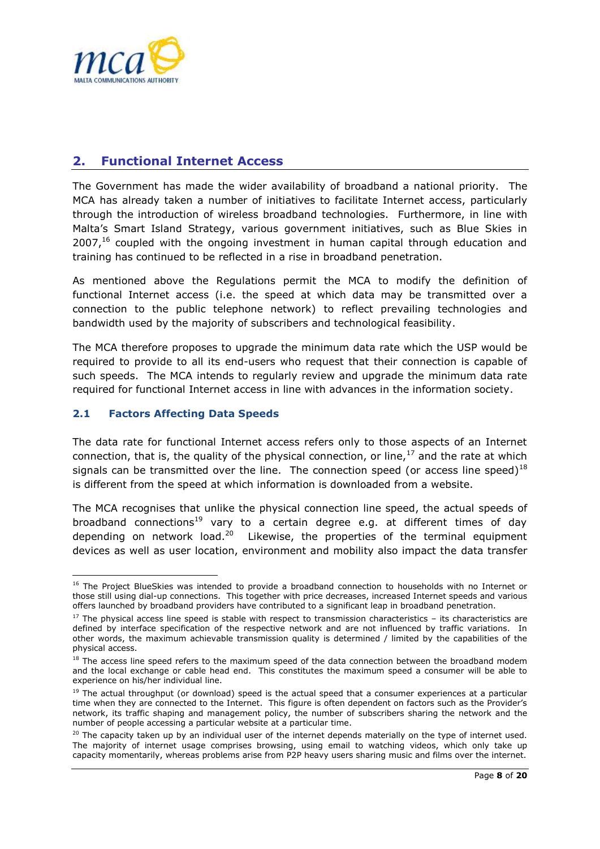

# <span id="page-7-0"></span>**2. Functional Internet Access**

The Government has made the wider availability of broadband a national priority. The MCA has already taken a number of initiatives to facilitate Internet access, particularly through the introduction of wireless broadband technologies. Furthermore, in line with Malta"s Smart Island Strategy, various government initiatives, such as Blue Skies in  $2007<sup>16</sup>$  coupled with the ongoing investment in human capital through education and training has continued to be reflected in a rise in broadband penetration.

As mentioned above the Regulations permit the MCA to modify the definition of functional Internet access (i.e. the speed at which data may be transmitted over a connection to the public telephone network) to reflect prevailing technologies and bandwidth used by the majority of subscribers and technological feasibility.

The MCA therefore proposes to upgrade the minimum data rate which the USP would be required to provide to all its end-users who request that their connection is capable of such speeds. The MCA intends to regularly review and upgrade the minimum data rate required for functional Internet access in line with advances in the information society.

## <span id="page-7-1"></span>**2.1 Factors Affecting Data Speeds**

The data rate for functional Internet access refers only to those aspects of an Internet connection, that is, the quality of the physical connection, or line,  $17$  and the rate at which signals can be transmitted over the line. The connection speed (or access line speed)<sup>18</sup> is different from the speed at which information is downloaded from a website.

The MCA recognises that unlike the physical connection line speed, the actual speeds of broadband connections<sup>19</sup> vary to a certain degree e.g. at different times of day depending on network load.<sup>20</sup> Likewise, the properties of the terminal equipment devices as well as user location, environment and mobility also impact the data transfer

<sup>1</sup> <sup>16</sup> The Project BlueSkies was intended to provide a broadband connection to households with no Internet or those still using dial-up connections. This together with price decreases, increased Internet speeds and various offers launched by broadband providers have contributed to a significant leap in broadband penetration.

 $17$  The physical access line speed is stable with respect to transmission characteristics – its characteristics are defined by interface specification of the respective network and are not influenced by traffic variations. In other words, the maximum achievable transmission quality is determined / limited by the capabilities of the physical access.

<sup>&</sup>lt;sup>18</sup> The access line speed refers to the maximum speed of the data connection between the broadband modem and the local exchange or cable head end. This constitutes the maximum speed a consumer will be able to experience on his/her individual line.

<sup>&</sup>lt;sup>19</sup> The actual throughput (or download) speed is the actual speed that a consumer experiences at a particular time when they are connected to the Internet. This figure is often dependent on factors such as the Provider"s network, its traffic shaping and management policy, the number of subscribers sharing the network and the number of people accessing a particular website at a particular time.

<sup>&</sup>lt;sup>20</sup> The capacity taken up by an individual user of the internet depends materially on the type of internet used. The majority of internet usage comprises browsing, using email to watching videos, which only take up capacity momentarily, whereas problems arise from P2P heavy users sharing music and films over the internet.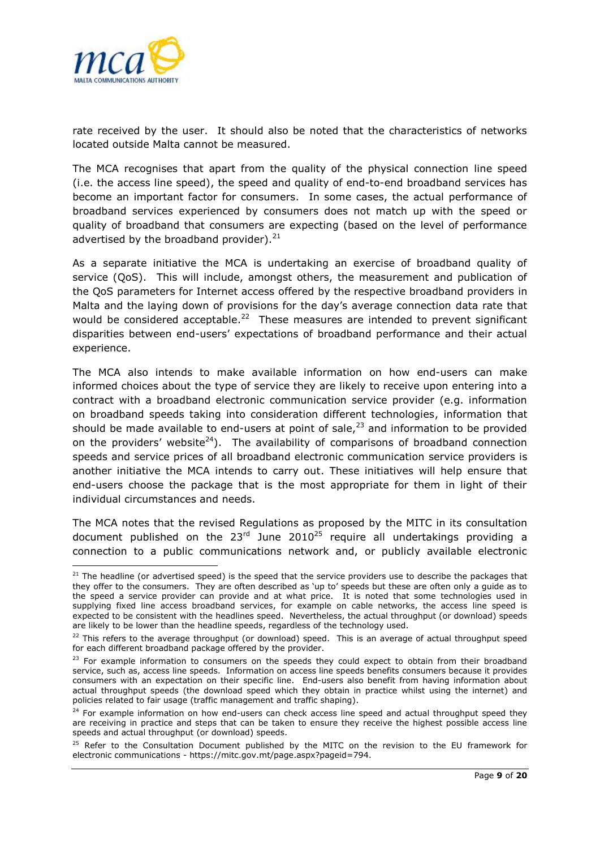

rate received by the user. It should also be noted that the characteristics of networks located outside Malta cannot be measured.

The MCA recognises that apart from the quality of the physical connection line speed (i.e. the access line speed), the speed and quality of end-to-end broadband services has become an important factor for consumers. In some cases, the actual performance of broadband services experienced by consumers does not match up with the speed or quality of broadband that consumers are expecting (based on the level of performance advertised by the broadband provider). $^{21}$ 

As a separate initiative the MCA is undertaking an exercise of broadband quality of service (QoS). This will include, amongst others, the measurement and publication of the QoS parameters for Internet access offered by the respective broadband providers in Malta and the laying down of provisions for the day"s average connection data rate that would be considered acceptable. $^{22}$  These measures are intended to prevent significant disparities between end-users" expectations of broadband performance and their actual experience.

The MCA also intends to make available information on how end-users can make informed choices about the type of service they are likely to receive upon entering into a contract with a broadband electronic communication service provider (e.g. information on broadband speeds taking into consideration different technologies, information that should be made available to end-users at point of sale, $^{23}$  and information to be provided on the providers' website<sup>24</sup>). The availability of comparisons of broadband connection speeds and service prices of all broadband electronic communication service providers is another initiative the MCA intends to carry out. These initiatives will help ensure that end-users choose the package that is the most appropriate for them in light of their individual circumstances and needs.

The MCA notes that the revised Regulations as proposed by the MITC in its consultation document published on the  $23^{rd}$  June  $2010^{25}$  require all undertakings providing a connection to a public communications network and, or publicly available electronic

<sup>1</sup>  $21$  The headline (or advertised speed) is the speed that the service providers use to describe the packages that they offer to the consumers. They are often described as "up to" speeds but these are often only a guide as to the speed a service provider can provide and at what price. It is noted that some technologies used in supplying fixed line access broadband services, for example on cable networks, the access line speed is expected to be consistent with the headlines speed. Nevertheless, the actual throughput (or download) speeds are likely to be lower than the headline speeds, regardless of the technology used.

<sup>&</sup>lt;sup>22</sup> This refers to the average throughput (or download) speed. This is an average of actual throughput speed for each different broadband package offered by the provider.

<sup>&</sup>lt;sup>23</sup> For example information to consumers on the speeds they could expect to obtain from their broadband service, such as, access line speeds. Information on access line speeds benefits consumers because it provides consumers with an expectation on their specific line. End-users also benefit from having information about actual throughput speeds (the download speed which they obtain in practice whilst using the internet) and policies related to fair usage (traffic management and traffic shaping).

<sup>&</sup>lt;sup>24</sup> For example information on how end-users can check access line speed and actual throughput speed they are receiving in practice and steps that can be taken to ensure they receive the highest possible access line speeds and actual throughput (or download) speeds.

<sup>&</sup>lt;sup>25</sup> Refer to the Consultation Document published by the MITC on the revision to the EU framework for electronic communications - https://mitc.gov.mt/page.aspx?pageid=794.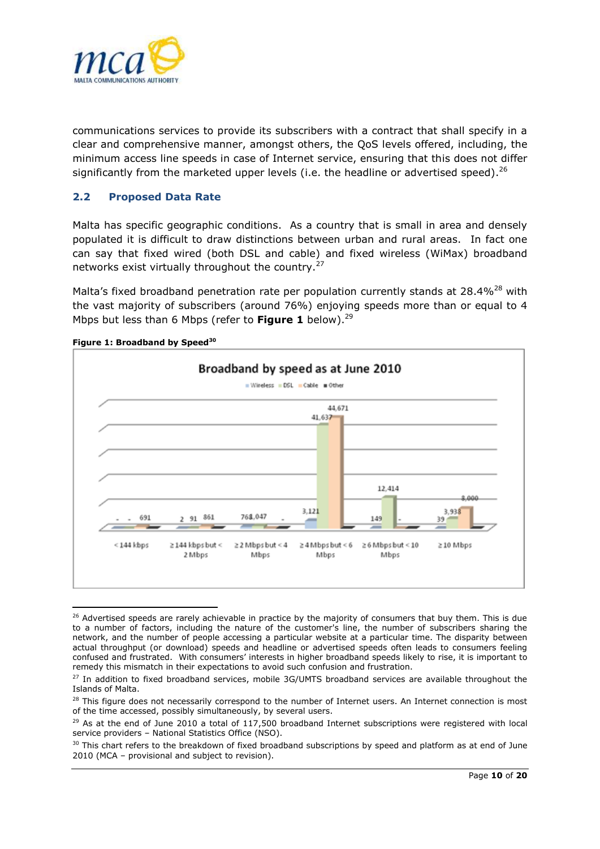

communications services to provide its subscribers with a contract that shall specify in a clear and comprehensive manner, amongst others, the QoS levels offered, including, the minimum access line speeds in case of Internet service, ensuring that this does not differ significantly from the marketed upper levels (i.e. the headline or advertised speed).<sup>26</sup>

### <span id="page-9-0"></span>**2.2 Proposed Data Rate**

Malta has specific geographic conditions. As a country that is small in area and densely populated it is difficult to draw distinctions between urban and rural areas. In fact one can say that fixed wired (both DSL and cable) and fixed wireless (WiMax) broadband networks exist virtually throughout the country.<sup>27</sup>

Malta's fixed broadband penetration rate per population currently stands at  $28.4\%^{28}$  with the vast majority of subscribers (around 76%) enjoying speeds more than or equal to 4 Mbps but less than 6 Mbps (refer to **Figure 1** below). 29



**Figure 1: Broadband by Speed<sup>30</sup>**

 $\overline{a}$ 

<sup>&</sup>lt;sup>26</sup> Advertised speeds are rarely achievable in practice by the majority of consumers that buy them. This is due to a number of factors, including the nature of the customer's line, the number of subscribers sharing the network, and the number of people accessing a particular website at a particular time. The disparity between actual throughput (or download) speeds and headline or advertised speeds often leads to consumers feeling confused and frustrated. With consumers" interests in higher broadband speeds likely to rise, it is important to remedy this mismatch in their expectations to avoid such confusion and frustration.

<sup>&</sup>lt;sup>27</sup> In addition to fixed broadband services, mobile 3G/UMTS broadband services are available throughout the Islands of Malta.

<sup>&</sup>lt;sup>28</sup> This figure does not necessarily correspond to the number of Internet users. An Internet connection is most of the time accessed, possibly simultaneously, by several users.

<sup>&</sup>lt;sup>29</sup> As at the end of June 2010 a total of 117,500 broadband Internet subscriptions were registered with local service providers – National Statistics Office (NSO).

<sup>&</sup>lt;sup>30</sup> This chart refers to the breakdown of fixed broadband subscriptions by speed and platform as at end of June 2010 (MCA – provisional and subject to revision).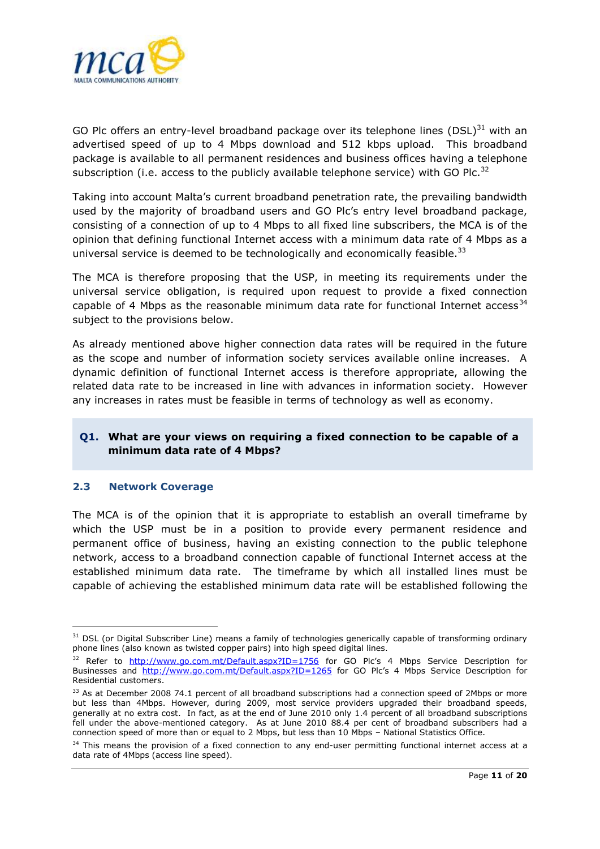

GO Plc offers an entry-level broadband package over its telephone lines  $(DSL)^{31}$  with an advertised speed of up to 4 Mbps download and 512 kbps upload. This broadband package is available to all permanent residences and business offices having a telephone subscription (i.e. access to the publicly available telephone service) with GO Plc.<sup>32</sup>

Taking into account Malta"s current broadband penetration rate, the prevailing bandwidth used by the majority of broadband users and GO Plc"s entry level broadband package, consisting of a connection of up to 4 Mbps to all fixed line subscribers, the MCA is of the opinion that defining functional Internet access with a minimum data rate of 4 Mbps as a universal service is deemed to be technologically and economically feasible.<sup>33</sup>

The MCA is therefore proposing that the USP, in meeting its requirements under the universal service obligation, is required upon request to provide a fixed connection capable of 4 Mbps as the reasonable minimum data rate for functional Internet  $access^{34}$ subject to the provisions below.

As already mentioned above higher connection data rates will be required in the future as the scope and number of information society services available online increases. A dynamic definition of functional Internet access is therefore appropriate, allowing the related data rate to be increased in line with advances in information society. However any increases in rates must be feasible in terms of technology as well as economy.

## **Q1. What are your views on requiring a fixed connection to be capable of a minimum data rate of 4 Mbps?**

### <span id="page-10-0"></span>**2.3 Network Coverage**

1

The MCA is of the opinion that it is appropriate to establish an overall timeframe by which the USP must be in a position to provide every permanent residence and permanent office of business, having an existing connection to the public telephone network, access to a broadband connection capable of functional Internet access at the established minimum data rate. The timeframe by which all installed lines must be capable of achieving the established minimum data rate will be established following the

<sup>&</sup>lt;sup>31</sup> DSL (or Digital Subscriber Line) means a family of technologies generically capable of transforming ordinary phone lines (also known as twisted copper pairs) into high speed digital lines.

<sup>&</sup>lt;sup>32</sup> Refer to <http://www.go.com.mt/Default.aspx?ID=1756></u> for GO Plc's 4 Mbps Service Description for Businesses and <http://www.go.com.mt/Default.aspx?ID=1265> for GO Plc"s 4 Mbps Service Description for Residential customers.

<sup>&</sup>lt;sup>33</sup> As at December 2008 74.1 percent of all broadband subscriptions had a connection speed of 2Mbps or more but less than 4Mbps. However, during 2009, most service providers upgraded their broadband speeds, generally at no extra cost. In fact, as at the end of June 2010 only 1.4 percent of all broadband subscriptions fell under the above-mentioned category. As at June 2010 88.4 per cent of broadband subscribers had a connection speed of more than or equal to 2 Mbps, but less than 10 Mbps – National Statistics Office.

<sup>&</sup>lt;sup>34</sup> This means the provision of a fixed connection to any end-user permitting functional internet access at a data rate of 4Mbps (access line speed).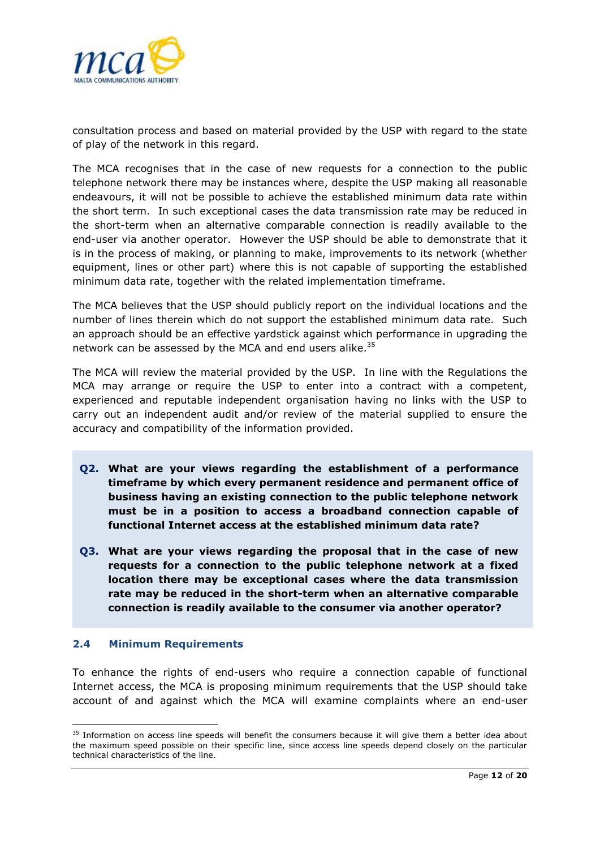

consultation process and based on material provided by the USP with regard to the state of play of the network in this regard.

The MCA recognises that in the case of new requests for a connection to the public telephone network there may be instances where, despite the USP making all reasonable endeavours, it will not be possible to achieve the established minimum data rate within the short term. In such exceptional cases the data transmission rate may be reduced in the short-term when an alternative comparable connection is readily available to the end-user via another operator. However the USP should be able to demonstrate that it is in the process of making, or planning to make, improvements to its network (whether equipment, lines or other part) where this is not capable of supporting the established minimum data rate, together with the related implementation timeframe.

The MCA believes that the USP should publicly report on the individual locations and the number of lines therein which do not support the established minimum data rate. Such an approach should be an effective yardstick against which performance in upgrading the network can be assessed by the MCA and end users alike.<sup>35</sup>

The MCA will review the material provided by the USP. In line with the Regulations the MCA may arrange or require the USP to enter into a contract with a competent, experienced and reputable independent organisation having no links with the USP to carry out an independent audit and/or review of the material supplied to ensure the accuracy and compatibility of the information provided.

- **Q2. What are your views regarding the establishment of a performance timeframe by which every permanent residence and permanent office of business having an existing connection to the public telephone network must be in a position to access a broadband connection capable of functional Internet access at the established minimum data rate?**
- **Q3. What are your views regarding the proposal that in the case of new requests for a connection to the public telephone network at a fixed location there may be exceptional cases where the data transmission rate may be reduced in the short-term when an alternative comparable connection is readily available to the consumer via another operator?**

### <span id="page-11-0"></span>**2.4 Minimum Requirements**

1

To enhance the rights of end-users who require a connection capable of functional Internet access, the MCA is proposing minimum requirements that the USP should take account of and against which the MCA will examine complaints where an end-user

<sup>&</sup>lt;sup>35</sup> Information on access line speeds will benefit the consumers because it will give them a better idea about the maximum speed possible on their specific line, since access line speeds depend closely on the particular technical characteristics of the line.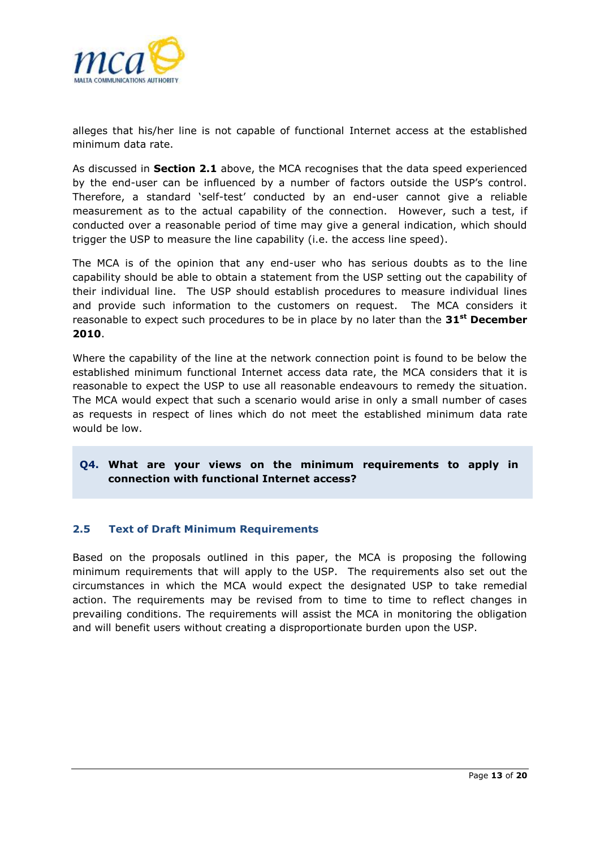

alleges that his/her line is not capable of functional Internet access at the established minimum data rate.

As discussed in **Section 2.1** above, the MCA recognises that the data speed experienced by the end-user can be influenced by a number of factors outside the USP"s control. Therefore, a standard "self-test" conducted by an end-user cannot give a reliable measurement as to the actual capability of the connection. However, such a test, if conducted over a reasonable period of time may give a general indication, which should trigger the USP to measure the line capability (i.e. the access line speed).

The MCA is of the opinion that any end-user who has serious doubts as to the line capability should be able to obtain a statement from the USP setting out the capability of their individual line. The USP should establish procedures to measure individual lines and provide such information to the customers on request. The MCA considers it reasonable to expect such procedures to be in place by no later than the **31st December 2010**.

Where the capability of the line at the network connection point is found to be below the established minimum functional Internet access data rate, the MCA considers that it is reasonable to expect the USP to use all reasonable endeavours to remedy the situation. The MCA would expect that such a scenario would arise in only a small number of cases as requests in respect of lines which do not meet the established minimum data rate would be low.

## **Q4. What are your views on the minimum requirements to apply in connection with functional Internet access?**

### <span id="page-12-0"></span>**2.5 Text of Draft Minimum Requirements**

Based on the proposals outlined in this paper, the MCA is proposing the following minimum requirements that will apply to the USP. The requirements also set out the circumstances in which the MCA would expect the designated USP to take remedial action. The requirements may be revised from to time to time to reflect changes in prevailing conditions. The requirements will assist the MCA in monitoring the obligation and will benefit users without creating a disproportionate burden upon the USP.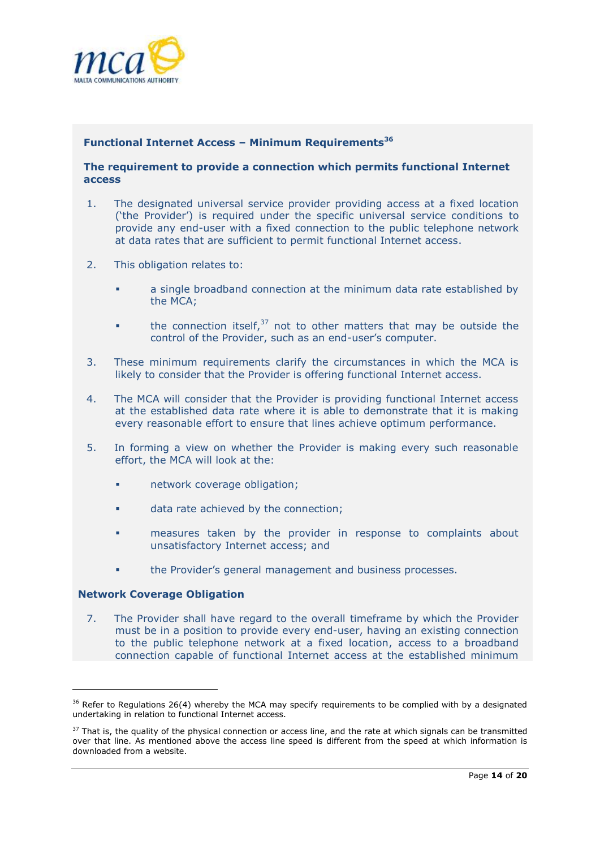

#### **Functional Internet Access – Minimum Requirements<sup>36</sup>**

#### **The requirement to provide a connection which permits functional Internet access**

- 1. The designated universal service provider providing access at a fixed location ("the Provider") is required under the specific universal service conditions to provide any end-user with a fixed connection to the public telephone network at data rates that are sufficient to permit functional Internet access.
- 2. This obligation relates to:
	- a single broadband connection at the minimum data rate established by the MCA;
	- **the connection itself,**<sup>37</sup> not to other matters that may be outside the control of the Provider, such as an end-user"s computer.
- 3. These minimum requirements clarify the circumstances in which the MCA is likely to consider that the Provider is offering functional Internet access.
- 4. The MCA will consider that the Provider is providing functional Internet access at the established data rate where it is able to demonstrate that it is making every reasonable effort to ensure that lines achieve optimum performance.
- 5. In forming a view on whether the Provider is making every such reasonable effort, the MCA will look at the:
	- **network coverage obligation;**
	- **data rate achieved by the connection;**
	- measures taken by the provider in response to complaints about unsatisfactory Internet access; and
	- **the Provider's general management and business processes.**

#### **6. Network Coverage Obligation**

**.** 

7. The Provider shall have regard to the overall timeframe by which the Provider must be in a position to provide every end-user, having an existing connection to the public telephone network at a fixed location, access to a broadband connection capable of functional Internet access at the established minimum

 $36$  Refer to Regulations 26(4) whereby the MCA may specify requirements to be complied with by a designated undertaking in relation to functional Internet access.

 $37$  That is, the quality of the physical connection or access line, and the rate at which signals can be transmitted over that line. As mentioned above the access line speed is different from the speed at which information is downloaded from a website.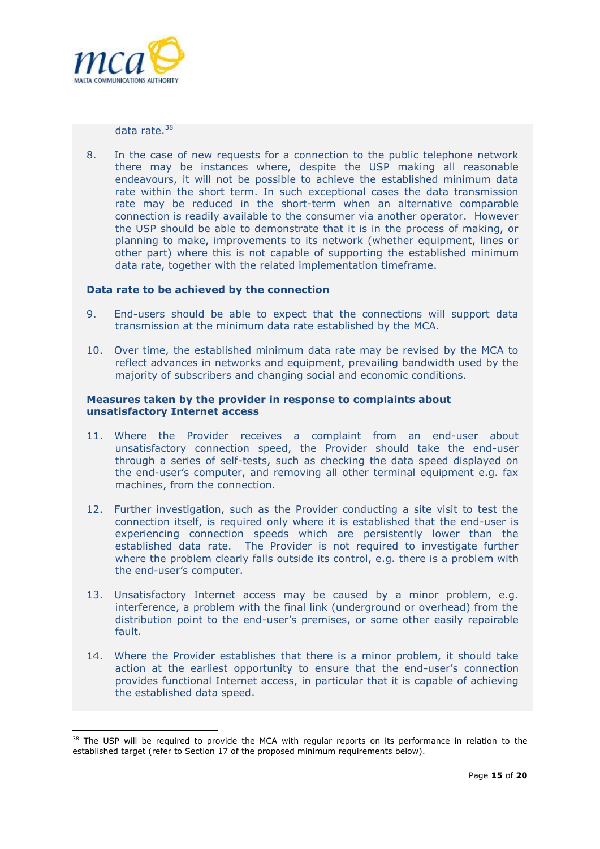

data rate. $38$ 

8. In the case of new requests for a connection to the public telephone network there may be instances where, despite the USP making all reasonable endeavours, it will not be possible to achieve the established minimum data rate within the short term. In such exceptional cases the data transmission rate may be reduced in the short-term when an alternative comparable connection is readily available to the consumer via another operator. However the USP should be able to demonstrate that it is in the process of making, or planning to make, improvements to its network (whether equipment, lines or other part) where this is not capable of supporting the established minimum data rate, together with the related implementation timeframe.

#### **Data rate to be achieved by the connection**

- 9. End-users should be able to expect that the connections will support data transmission at the minimum data rate established by the MCA.
- 10. Over time, the established minimum data rate may be revised by the MCA to reflect advances in networks and equipment, prevailing bandwidth used by the majority of subscribers and changing social and economic conditions.

#### **Measures taken by the provider in response to complaints about unsatisfactory Internet access**

- 11. Where the Provider receives a complaint from an end-user about unsatisfactory connection speed, the Provider should take the end-user through a series of self-tests, such as checking the data speed displayed on the end-user"s computer, and removing all other terminal equipment e.g. fax machines, from the connection.
- 12. Further investigation, such as the Provider conducting a site visit to test the connection itself, is required only where it is established that the end-user is experiencing connection speeds which are persistently lower than the established data rate. The Provider is not required to investigate further where the problem clearly falls outside its control, e.g. there is a problem with the end-user's computer.
- 13. Unsatisfactory Internet access may be caused by a minor problem, e.g. interference, a problem with the final link (underground or overhead) from the distribution point to the end-user"s premises, or some other easily repairable fault.
- 14. Where the Provider establishes that there is a minor problem, it should take action at the earliest opportunity to ensure that the end-user's connection provides functional Internet access, in particular that it is capable of achieving the established data speed.

<sup>1</sup> <sup>38</sup> The USP will be required to provide the MCA with regular reports on its performance in relation to the established target (refer to Section 17 of the proposed minimum requirements below).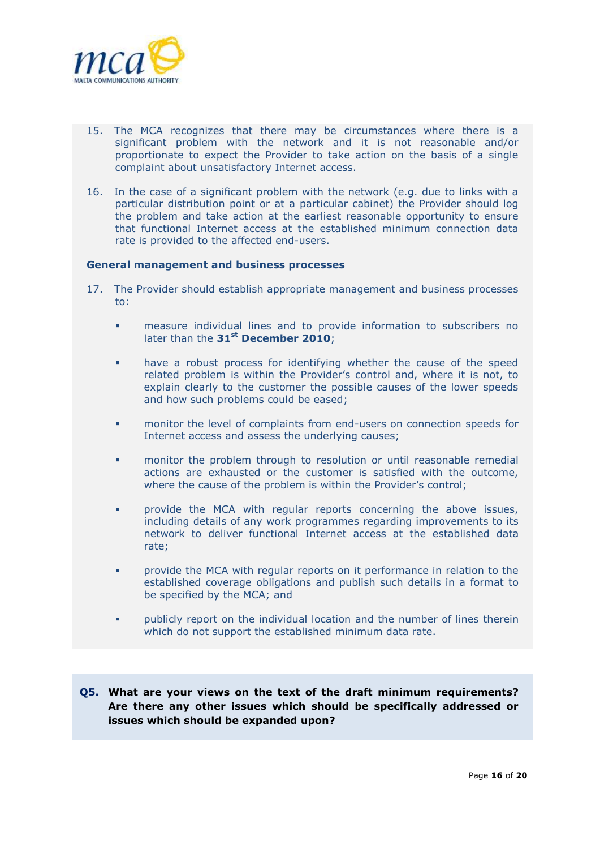

- 15. The MCA recognizes that there may be circumstances where there is a significant problem with the network and it is not reasonable and/or proportionate to expect the Provider to take action on the basis of a single complaint about unsatisfactory Internet access.
- 16. In the case of a significant problem with the network (e.g. due to links with a particular distribution point or at a particular cabinet) the Provider should log the problem and take action at the earliest reasonable opportunity to ensure that functional Internet access at the established minimum connection data rate is provided to the affected end-users.

#### **General management and business processes**

- 17. The Provider should establish appropriate management and business processes to:
	- measure individual lines and to provide information to subscribers no later than the **31st December 2010**;
	- have a robust process for identifying whether the cause of the speed related problem is within the Provider"s control and, where it is not, to explain clearly to the customer the possible causes of the lower speeds and how such problems could be eased;
	- monitor the level of complaints from end-users on connection speeds for Internet access and assess the underlying causes;
	- monitor the problem through to resolution or until reasonable remedial actions are exhausted or the customer is satisfied with the outcome, where the cause of the problem is within the Provider's control;
	- provide the MCA with regular reports concerning the above issues, including details of any work programmes regarding improvements to its network to deliver functional Internet access at the established data rate;
	- provide the MCA with regular reports on it performance in relation to the established coverage obligations and publish such details in a format to be specified by the MCA; and
	- publicly report on the individual location and the number of lines therein which do not support the established minimum data rate.
- **Q5. What are your views on the text of the draft minimum requirements? Are there any other issues which should be specifically addressed or issues which should be expanded upon?**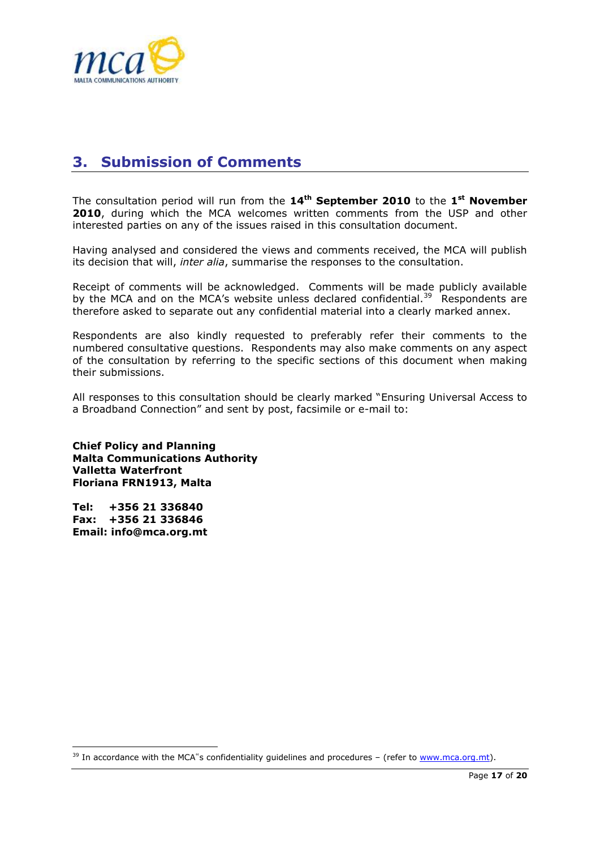

# <span id="page-16-0"></span>**3. Submission of Comments**

The consultation period will run from the **14th September 2010** to the **1 st November 2010**, during which the MCA welcomes written comments from the USP and other interested parties on any of the issues raised in this consultation document.

Having analysed and considered the views and comments received, the MCA will publish its decision that will, *inter alia*, summarise the responses to the consultation.

Receipt of comments will be acknowledged. Comments will be made publicly available by the MCA and on the MCA's website unless declared confidential. $39$  Respondents are therefore asked to separate out any confidential material into a clearly marked annex.

Respondents are also kindly requested to preferably refer their comments to the numbered consultative questions. Respondents may also make comments on any aspect of the consultation by referring to the specific sections of this document when making their submissions.

All responses to this consultation should be clearly marked "Ensuring Universal Access to a Broadband Connection" and sent by post, facsimile or e-mail to:

**Chief Policy and Planning Malta Communications Authority Valletta Waterfront Floriana FRN1913, Malta** 

**Tel: +356 21 336840 Fax: +356 21 336846 Email: info@mca.org.mt** 

**.** 

<sup>&</sup>lt;sup>39</sup> In accordance with the MCA"s confidentiality guidelines and procedures - (refer to [www.mca.org.mt\)](http://www.mca.org.mt/).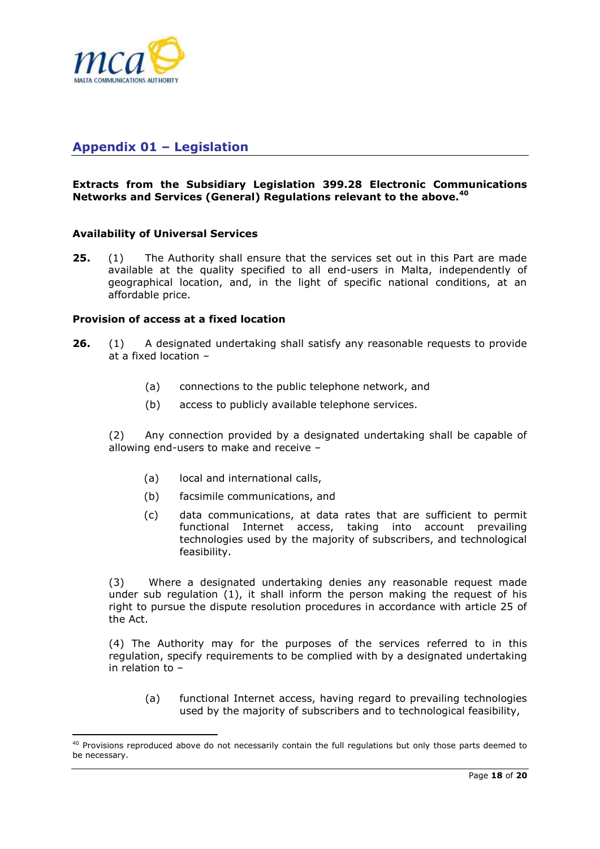

## <span id="page-17-0"></span>**Appendix 01 – Legislation**

#### **Extracts from the Subsidiary Legislation 399.28 Electronic Communications Networks and Services (General) Regulations relevant to the above.<sup>40</sup>**

#### **Availability of Universal Services**

**25.** (1) The Authority shall ensure that the services set out in this Part are made available at the quality specified to all end-users in Malta, independently of geographical location, and, in the light of specific national conditions, at an affordable price.

### **Provision of access at a fixed location**

1

- **26.** (1) A designated undertaking shall satisfy any reasonable requests to provide at a fixed location –
	- (a) connections to the public telephone network, and
	- (b) access to publicly available telephone services.

(2) Any connection provided by a designated undertaking shall be capable of allowing end-users to make and receive –

- (a) local and international calls,
- (b) facsimile communications, and
- (c) data communications, at data rates that are sufficient to permit functional Internet access, taking into account prevailing technologies used by the majority of subscribers, and technological feasibility.

(3) Where a designated undertaking denies any reasonable request made under sub regulation  $(1)$ , it shall inform the person making the request of his right to pursue the dispute resolution procedures in accordance with article 25 of the Act.

(4) The Authority may for the purposes of the services referred to in this regulation, specify requirements to be complied with by a designated undertaking in relation to –

(a) functional Internet access, having regard to prevailing technologies used by the majority of subscribers and to technological feasibility,

<sup>&</sup>lt;sup>40</sup> Provisions reproduced above do not necessarily contain the full regulations but only those parts deemed to be necessary.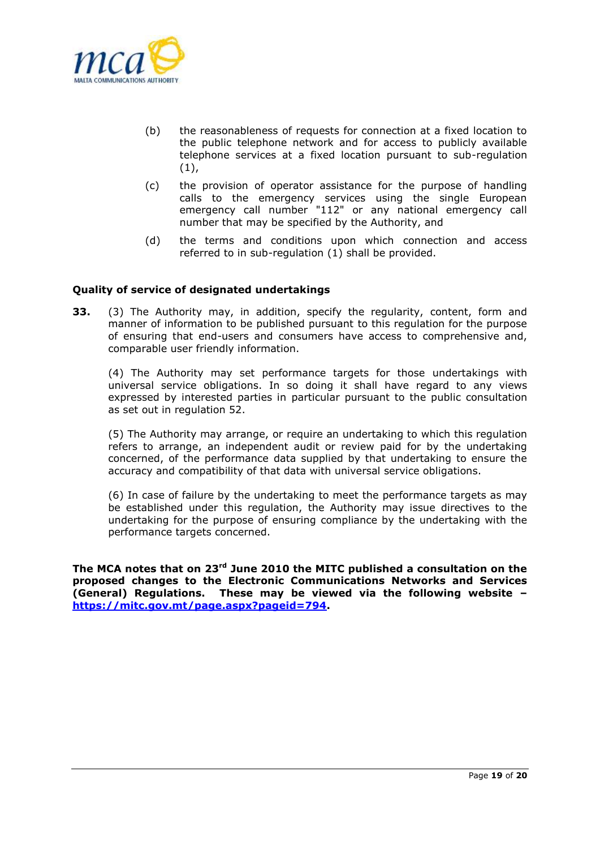

- (b) the reasonableness of requests for connection at a fixed location to the public telephone network and for access to publicly available telephone services at a fixed location pursuant to sub-regulation  $(1),$
- (c) the provision of operator assistance for the purpose of handling calls to the emergency services using the single European emergency call number "112" or any national emergency call number that may be specified by the Authority, and
- (d) the terms and conditions upon which connection and access referred to in sub-regulation (1) shall be provided.

#### **Quality of service of designated undertakings**

**33.** (3) The Authority may, in addition, specify the regularity, content, form and manner of information to be published pursuant to this regulation for the purpose of ensuring that end-users and consumers have access to comprehensive and, comparable user friendly information.

(4) The Authority may set performance targets for those undertakings with universal service obligations. In so doing it shall have regard to any views expressed by interested parties in particular pursuant to the public consultation as set out in regulation 52.

(5) The Authority may arrange, or require an undertaking to which this regulation refers to arrange, an independent audit or review paid for by the undertaking concerned, of the performance data supplied by that undertaking to ensure the accuracy and compatibility of that data with universal service obligations.

(6) In case of failure by the undertaking to meet the performance targets as may be established under this regulation, the Authority may issue directives to the undertaking for the purpose of ensuring compliance by the undertaking with the performance targets concerned.

**The MCA notes that on 23rd June 2010 the MITC published a consultation on the proposed changes to the Electronic Communications Networks and Services (General) Regulations. These may be viewed via the following website – [https://mitc.gov.mt/page.aspx?pageid=794.](https://mitc.gov.mt/page.aspx?pageid=794)**